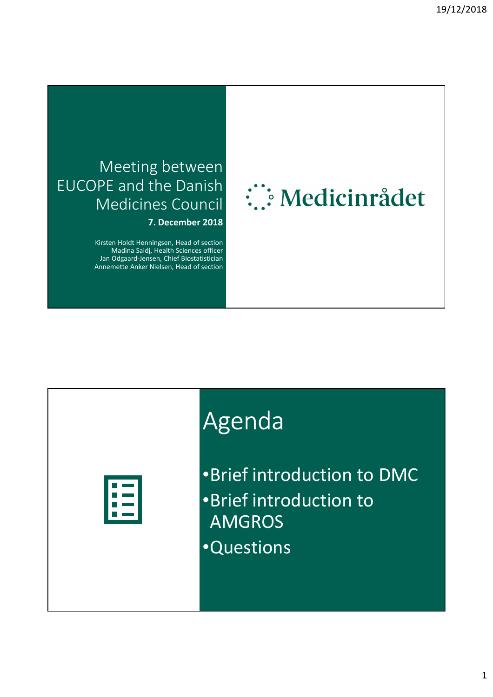### Meeting between EUCOPE and the Danish Medicines Council

**7. December 2018**

Kirsten Holdt Henningsen, Head of section Madina Saidj, Health Sciences officer Jan Odgaard-Jensen, Chief Biostatistician Annemette Anker Nielsen, Head of section

# : Medicinrådet

## Agenda



•Brief introduction to DMC •Brief introduction to AMGROS •Questions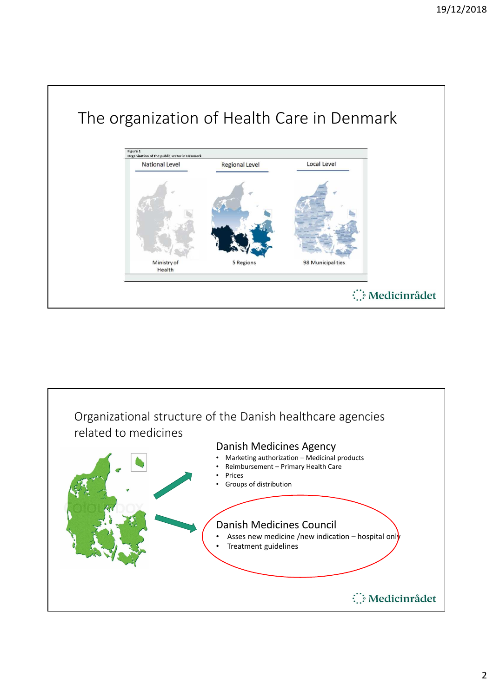

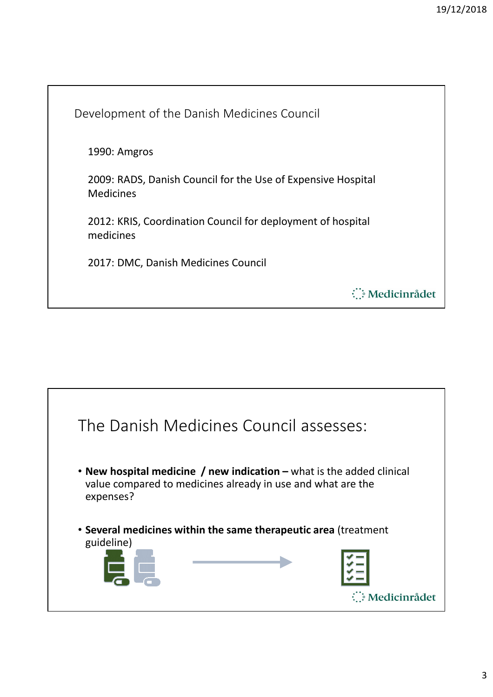Development of the Danish Medicines Council 1990: Amgros 2009: RADS, Danish Council for the Use of Expensive Hospital Medicines 2012: KRIS, Coordination Council for deployment of hospital medicines 2017: DMC, Danish Medicines Council : Medicinrådet

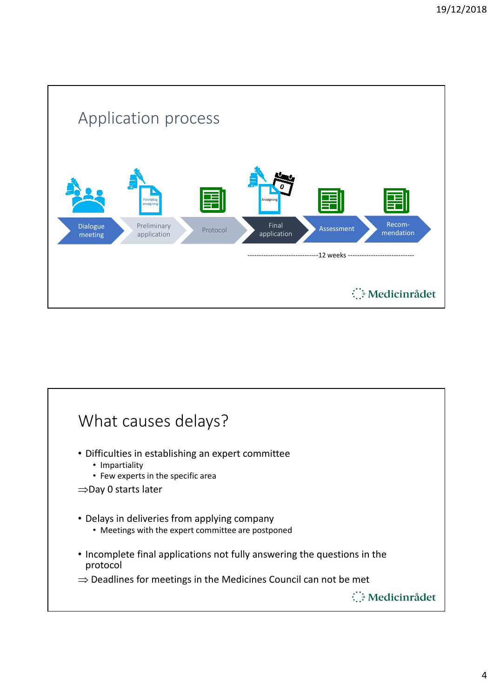

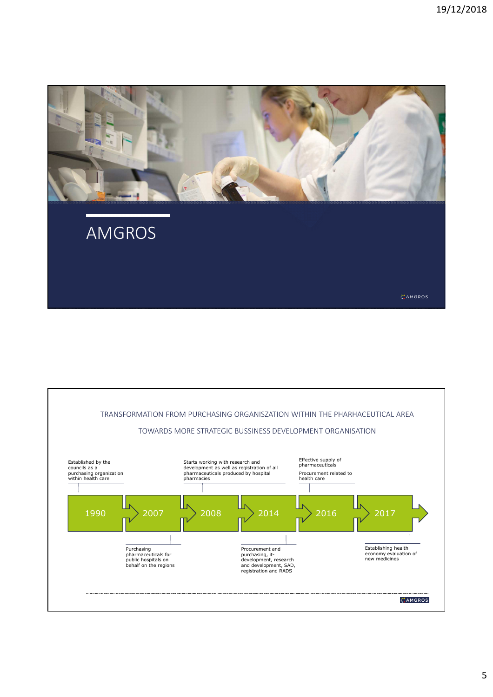

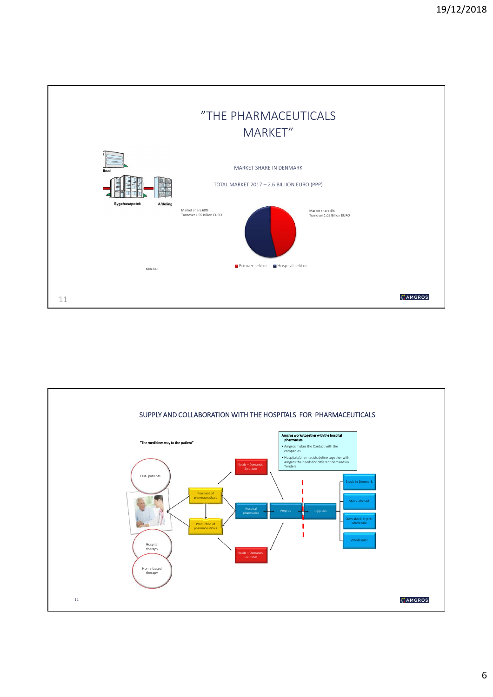

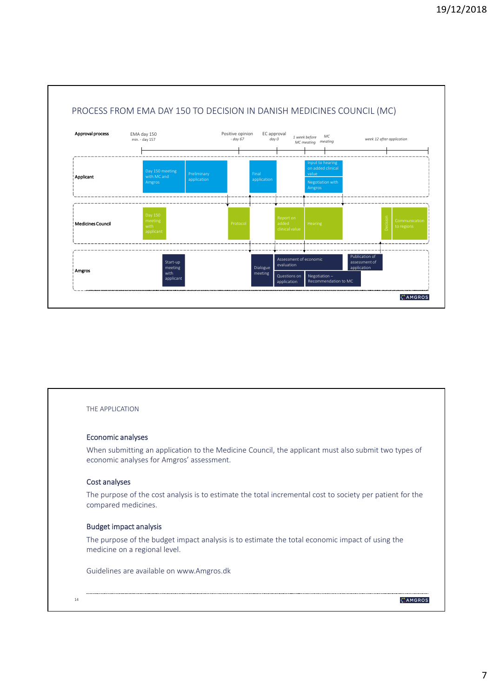

#### THE APPLICATION

#### Economic analyses

When submitting an application to the Medicine Council, the applicant must also submit two types of economic analyses for Amgros' assessment.

#### Cost analyses

The purpose of the cost analysis is to estimate the total incremental cost to society per patient for the compared medicines.

#### Budget impact analysis

The purpose of the budget impact analysis is to estimate the total economic impact of using the medicine on a regional level.

Guidelines are available on www.Amgros.dk

#### 14

CAMGROS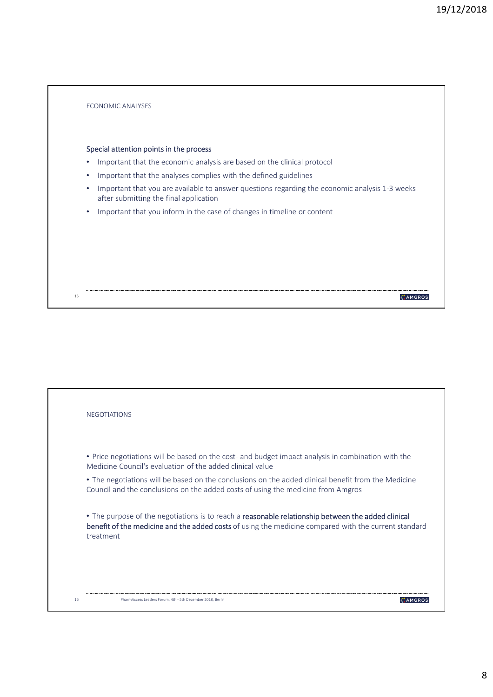